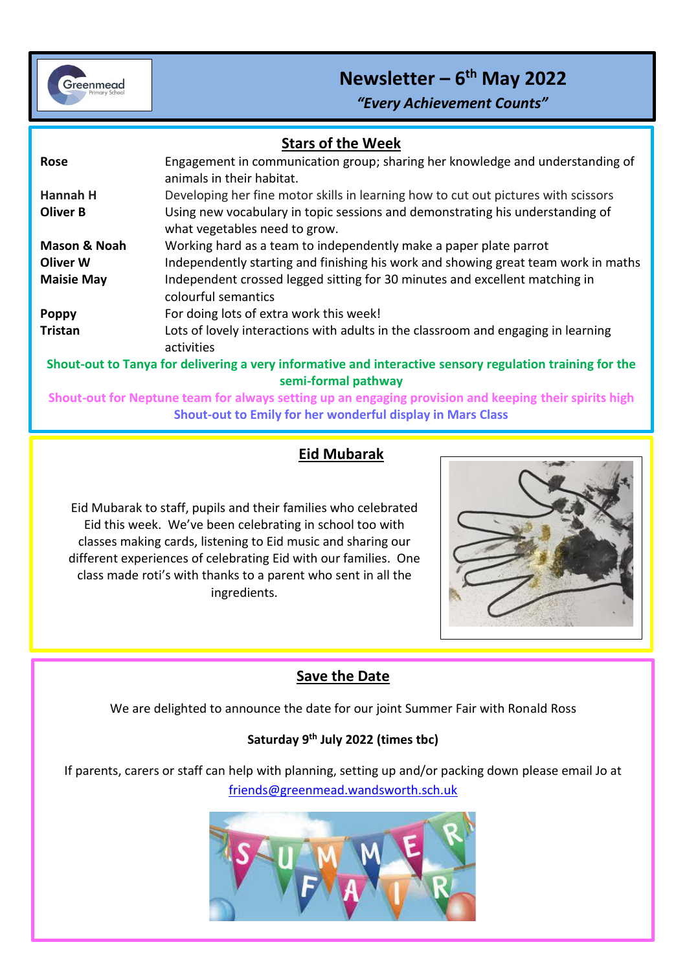

## **Newsletter – 6 th May 2022**

*"Every Achievement Counts"*

| <b>Stars of the Week</b>                                                                                                        |                                                                                                                |
|---------------------------------------------------------------------------------------------------------------------------------|----------------------------------------------------------------------------------------------------------------|
| Rose                                                                                                                            | Engagement in communication group; sharing her knowledge and understanding of<br>animals in their habitat.     |
| Hannah H                                                                                                                        | Developing her fine motor skills in learning how to cut out pictures with scissors                             |
| <b>Oliver B</b>                                                                                                                 | Using new vocabulary in topic sessions and demonstrating his understanding of<br>what vegetables need to grow. |
| Mason & Noah                                                                                                                    | Working hard as a team to independently make a paper plate parrot                                              |
| <b>Oliver W</b>                                                                                                                 | Independently starting and finishing his work and showing great team work in maths                             |
| <b>Maisie May</b>                                                                                                               | Independent crossed legged sitting for 30 minutes and excellent matching in<br>colourful semantics             |
| <b>Poppy</b>                                                                                                                    | For doing lots of extra work this week!                                                                        |
| <b>Tristan</b>                                                                                                                  | Lots of lovely interactions with adults in the classroom and engaging in learning<br>activities                |
| Shout-out to Tanya for delivering a very informative and interactive sensory regulation training for the<br>semi-formal pathway |                                                                                                                |
| Shout-out for Neptune team for always setting up an engaging provision and keeping their spirits high                           |                                                                                                                |

## **Eid Mubarak**

**Shout-out to Emily for her wonderful display in Mars Class**

Eid Mubarak to staff, pupils and their families who celebrated Eid this week. We've been celebrating in school too with classes making cards, listening to Eid music and sharing our different experiences of celebrating Eid with our families. One class made roti's with thanks to a parent who sent in all the ingredients.



## **Save the Date**

We are delighted to announce the date for our joint Summer Fair with Ronald Ross

### **Saturday 9th July 2022 (times tbc)**

If parents, carers or staff can help with planning, setting up and/or packing down please email Jo at [friends@greenmead.wandsworth.sch.uk](mailto:friends@greenmead.wandsworth.sch.uk)

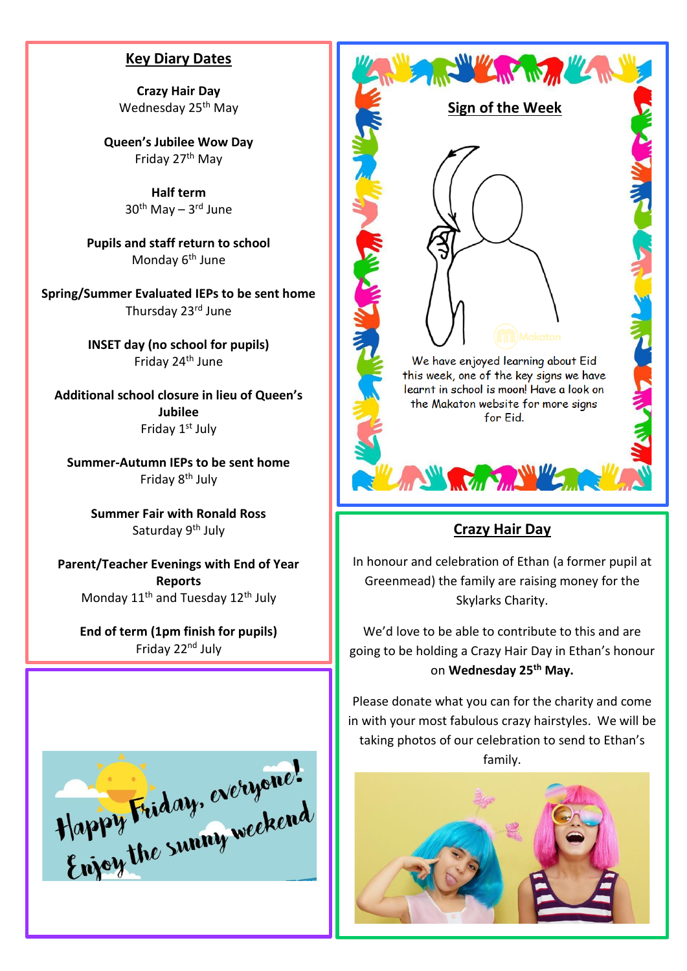#### **Key Diary Dates**

**Crazy Hair Day** Wednesday 25<sup>th</sup> May

**Queen's Jubilee Wow Day** Friday 27th May

> **Half term** 30<sup>th</sup> May – 3<sup>rd</sup> June

**Pupils and staff return to school** Monday 6<sup>th</sup> June

**Spring/Summer Evaluated IEPs to be sent home** Thursday 23rd June

> **INSET day (no school for pupils)** Friday 24th June

**Additional school closure in lieu of Queen's Jubilee** Friday 1<sup>st</sup> July

**Summer-Autumn IEPs to be sent home** Friday 8<sup>th</sup> July

> **Summer Fair with Ronald Ross** Saturday 9<sup>th</sup> July

**Parent/Teacher Evenings with End of Year Reports** Monday 11<sup>th</sup> and Tuesday 12<sup>th</sup> July

**End of term (1pm finish for pupils)** Friday 22nd July





## **Crazy Hair Day**

In honour and celebration of Ethan (a former pupil at Greenmead) the family are raising money for the Skylarks Charity.

We'd love to be able to contribute to this and are going to be holding a Crazy Hair Day in Ethan's honour on **Wednesday 25th May.**

Please donate what you can for the charity and come in with your most fabulous crazy hairstyles. We will be taking photos of our celebration to send to Ethan's family.